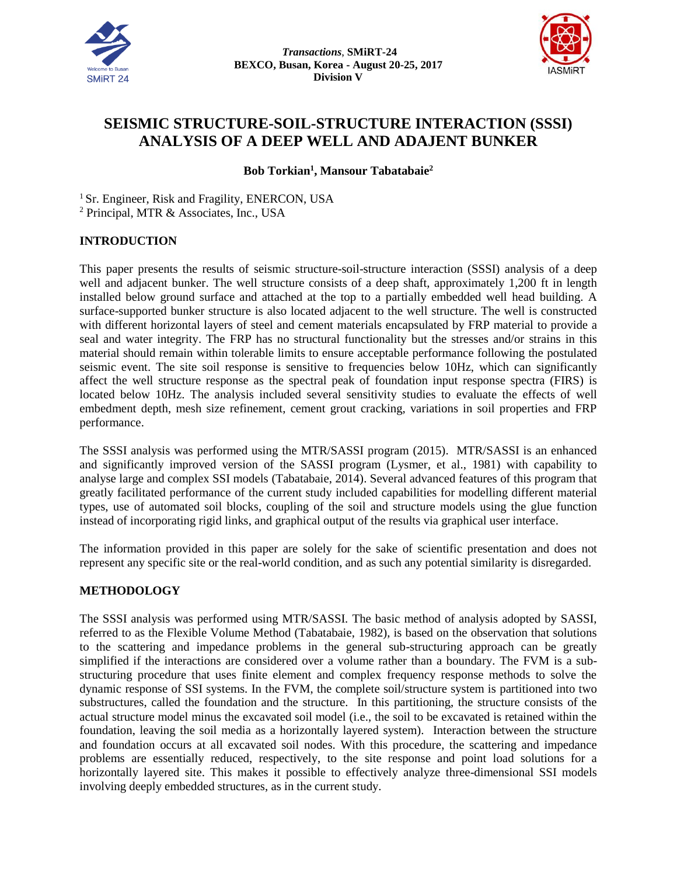



# **SEISMIC STRUCTURE-SOIL-STRUCTURE INTERACTION (SSSI) ANALYSIS OF A DEEP WELL AND ADAJENT BUNKER**

**Bob Torkian<sup>1</sup> , Mansour Tabatabaie 2**

<sup>1</sup> Sr. Engineer, Risk and Fragility, ENERCON, USA <sup>2</sup> Principal, MTR & Associates, Inc., USA

## **INTRODUCTION**

This paper presents the results of seismic structure-soil-structure interaction (SSSI) analysis of a deep well and adjacent bunker. The well structure consists of a deep shaft, approximately 1,200 ft in length installed below ground surface and attached at the top to a partially embedded well head building. A surface-supported bunker structure is also located adjacent to the well structure. The well is constructed with different horizontal layers of steel and cement materials encapsulated by FRP material to provide a seal and water integrity. The FRP has no structural functionality but the stresses and/or strains in this material should remain within tolerable limits to ensure acceptable performance following the postulated seismic event. The site soil response is sensitive to frequencies below 10Hz, which can significantly affect the well structure response as the spectral peak of foundation input response spectra (FIRS) is located below 10Hz. The analysis included several sensitivity studies to evaluate the effects of well embedment depth, mesh size refinement, cement grout cracking, variations in soil properties and FRP performance.

The SSSI analysis was performed using the MTR/SASSI program (2015). MTR/SASSI is an enhanced and significantly improved version of the SASSI program (Lysmer, et al., 1981) with capability to analyse large and complex SSI models (Tabatabaie, 2014). Several advanced features of this program that greatly facilitated performance of the current study included capabilities for modelling different material types, use of automated soil blocks, coupling of the soil and structure models using the glue function instead of incorporating rigid links, and graphical output of the results via graphical user interface.

The information provided in this paper are solely for the sake of scientific presentation and does not represent any specific site or the real-world condition, and as such any potential similarity is disregarded.

#### **METHODOLOGY**

The SSSI analysis was performed using MTR/SASSI. The basic method of analysis adopted by SASSI, referred to as the Flexible Volume Method (Tabatabaie, 1982), is based on the observation that solutions to the scattering and impedance problems in the general sub-structuring approach can be greatly simplified if the interactions are considered over a volume rather than a boundary. The FVM is a substructuring procedure that uses finite element and complex frequency response methods to solve the dynamic response of SSI systems. In the FVM, the complete soil/structure system is partitioned into two substructures, called the foundation and the structure. In this partitioning, the structure consists of the actual structure model minus the excavated soil model (i.e., the soil to be excavated is retained within the foundation, leaving the soil media as a horizontally layered system). Interaction between the structure and foundation occurs at all excavated soil nodes. With this procedure, the scattering and impedance problems are essentially reduced, respectively, to the site response and point load solutions for a horizontally layered site. This makes it possible to effectively analyze three-dimensional SSI models involving deeply embedded structures, as in the current study.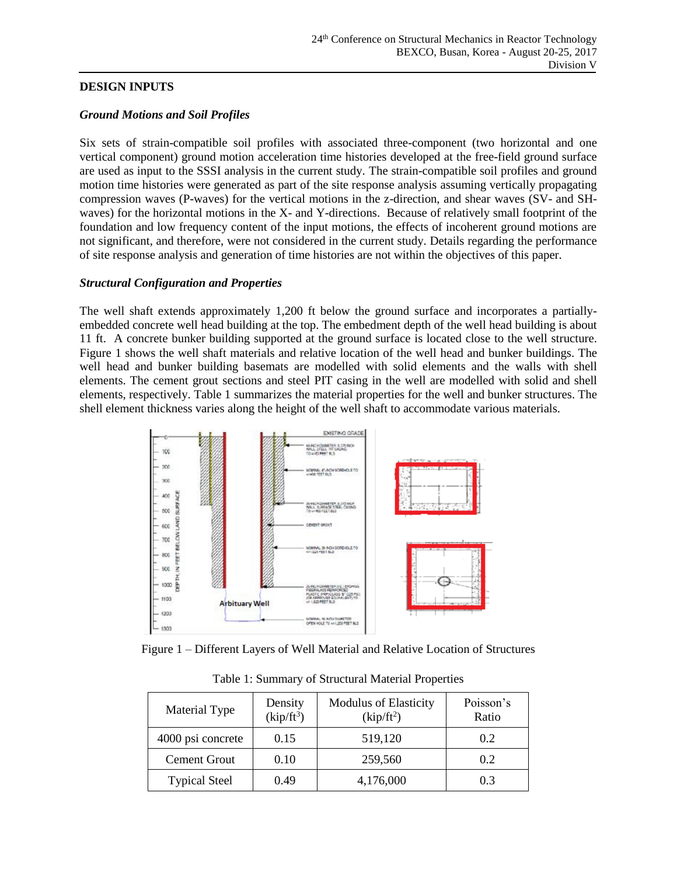#### **DESIGN INPUTS**

#### *Ground Motions and Soil Profiles*

Six sets of strain-compatible soil profiles with associated three-component (two horizontal and one vertical component) ground motion acceleration time histories developed at the free-field ground surface are used as input to the SSSI analysis in the current study. The strain-compatible soil profiles and ground motion time histories were generated as part of the site response analysis assuming vertically propagating compression waves (P-waves) for the vertical motions in the z-direction, and shear waves (SV- and SHwaves) for the horizontal motions in the X- and Y-directions. Because of relatively small footprint of the foundation and low frequency content of the input motions, the effects of incoherent ground motions are not significant, and therefore, were not considered in the current study. Details regarding the performance of site response analysis and generation of time histories are not within the objectives of this paper.

#### *Structural Configuration and Properties*

The well shaft extends approximately 1,200 ft below the ground surface and incorporates a partiallyembedded concrete well head building at the top. The embedment depth of the well head building is about 11 ft. A concrete bunker building supported at the ground surface is located close to the well structure. Figure 1 shows the well shaft materials and relative location of the well head and bunker buildings. The well head and bunker building basemats are modelled with solid elements and the walls with shell elements. The cement grout sections and steel PIT casing in the well are modelled with solid and shell elements, respectively. Table 1 summarizes the material properties for the well and bunker structures. The shell element thickness varies along the height of the well shaft to accommodate various materials.





| Material Type        | Density<br>$(kip/ft^3)$ | <b>Modulus of Elasticity</b><br>(kip/ft <sup>2</sup> ) | Poisson's<br>Ratio |
|----------------------|-------------------------|--------------------------------------------------------|--------------------|
| 4000 psi concrete    | 0.15                    | 519,120                                                | 0.2                |
| <b>Cement Grout</b>  | 0.10                    | 259,560                                                | 0.2                |
| <b>Typical Steel</b> | 0.49                    | 4,176,000                                              | 0.3                |

Table 1: Summary of Structural Material Properties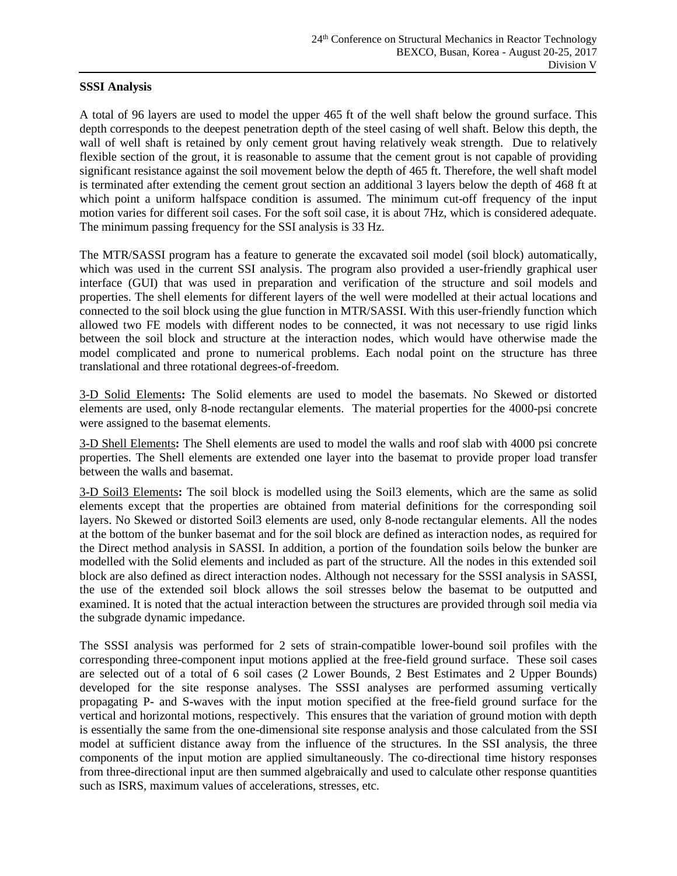#### **SSSI Analysis**

A total of 96 layers are used to model the upper 465 ft of the well shaft below the ground surface. This depth corresponds to the deepest penetration depth of the steel casing of well shaft. Below this depth, the wall of well shaft is retained by only cement grout having relatively weak strength. Due to relatively flexible section of the grout, it is reasonable to assume that the cement grout is not capable of providing significant resistance against the soil movement below the depth of 465 ft. Therefore, the well shaft model is terminated after extending the cement grout section an additional 3 layers below the depth of 468 ft at which point a uniform halfspace condition is assumed. The minimum cut-off frequency of the input motion varies for different soil cases. For the soft soil case, it is about 7Hz, which is considered adequate. The minimum passing frequency for the SSI analysis is 33 Hz.

The MTR/SASSI program has a feature to generate the excavated soil model (soil block) automatically, which was used in the current SSI analysis. The program also provided a user-friendly graphical user interface (GUI) that was used in preparation and verification of the structure and soil models and properties. The shell elements for different layers of the well were modelled at their actual locations and connected to the soil block using the glue function in MTR/SASSI. With this user-friendly function which allowed two FE models with different nodes to be connected, it was not necessary to use rigid links between the soil block and structure at the interaction nodes, which would have otherwise made the model complicated and prone to numerical problems. Each nodal point on the structure has three translational and three rotational degrees-of-freedom.

3-D Solid Elements**:** The Solid elements are used to model the basemats. No Skewed or distorted elements are used, only 8-node rectangular elements. The material properties for the 4000-psi concrete were assigned to the basemat elements.

3-D Shell Elements**:** The Shell elements are used to model the walls and roof slab with 4000 psi concrete properties. The Shell elements are extended one layer into the basemat to provide proper load transfer between the walls and basemat.

3-D Soil3 Elements**:** The soil block is modelled using the Soil3 elements, which are the same as solid elements except that the properties are obtained from material definitions for the corresponding soil layers. No Skewed or distorted Soil3 elements are used, only 8-node rectangular elements. All the nodes at the bottom of the bunker basemat and for the soil block are defined as interaction nodes, as required for the Direct method analysis in SASSI. In addition, a portion of the foundation soils below the bunker are modelled with the Solid elements and included as part of the structure. All the nodes in this extended soil block are also defined as direct interaction nodes. Although not necessary for the SSSI analysis in SASSI, the use of the extended soil block allows the soil stresses below the basemat to be outputted and examined. It is noted that the actual interaction between the structures are provided through soil media via the subgrade dynamic impedance.

The SSSI analysis was performed for 2 sets of strain-compatible lower-bound soil profiles with the corresponding three-component input motions applied at the free-field ground surface. These soil cases are selected out of a total of 6 soil cases (2 Lower Bounds, 2 Best Estimates and 2 Upper Bounds) developed for the site response analyses. The SSSI analyses are performed assuming vertically propagating P- and S-waves with the input motion specified at the free-field ground surface for the vertical and horizontal motions, respectively. This ensures that the variation of ground motion with depth is essentially the same from the one-dimensional site response analysis and those calculated from the SSI model at sufficient distance away from the influence of the structures. In the SSI analysis, the three components of the input motion are applied simultaneously. The co-directional time history responses from three-directional input are then summed algebraically and used to calculate other response quantities such as ISRS, maximum values of accelerations, stresses, etc.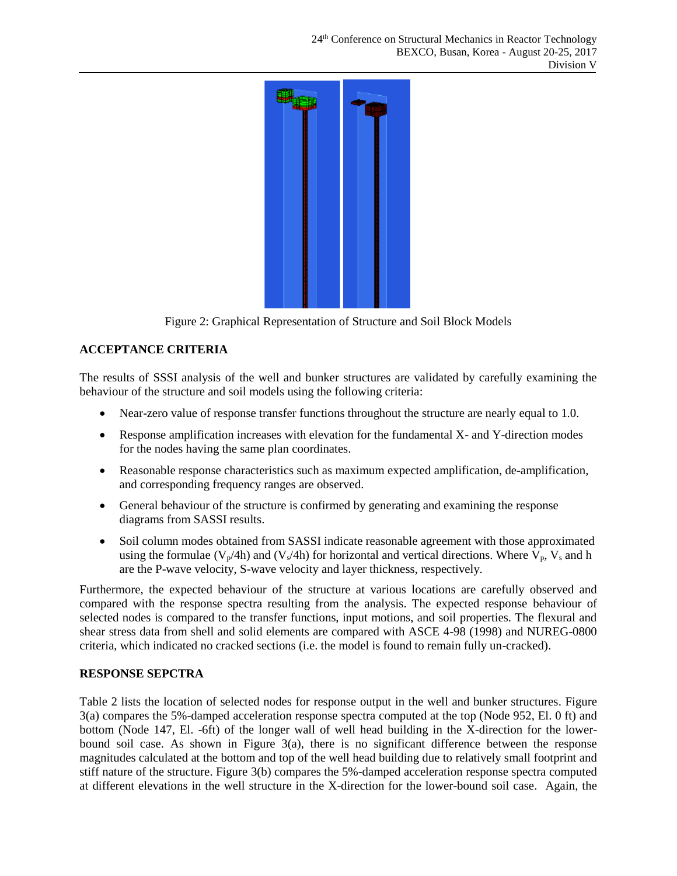

Figure 2: Graphical Representation of Structure and Soil Block Models

# **ACCEPTANCE CRITERIA**

The results of SSSI analysis of the well and bunker structures are validated by carefully examining the behaviour of the structure and soil models using the following criteria:

- Near-zero value of response transfer functions throughout the structure are nearly equal to 1.0.
- Response amplification increases with elevation for the fundamental X- and Y-direction modes for the nodes having the same plan coordinates.
- Reasonable response characteristics such as maximum expected amplification, de-amplification, and corresponding frequency ranges are observed.
- General behaviour of the structure is confirmed by generating and examining the response diagrams from SASSI results.
- Soil column modes obtained from SASSI indicate reasonable agreement with those approximated using the formulae ( $V_p/4h$ ) and ( $V_s/4h$ ) for horizontal and vertical directions. Where  $V_p$ ,  $V_s$  and h are the P-wave velocity, S-wave velocity and layer thickness, respectively.

Furthermore, the expected behaviour of the structure at various locations are carefully observed and compared with the response spectra resulting from the analysis. The expected response behaviour of selected nodes is compared to the transfer functions, input motions, and soil properties. The flexural and shear stress data from shell and solid elements are compared with ASCE 4-98 (1998) and NUREG-0800 criteria, which indicated no cracked sections (i.e. the model is found to remain fully un-cracked).

# **RESPONSE SEPCTRA**

Table 2 lists the location of selected nodes for response output in the well and bunker structures. Figure 3(a) compares the 5%-damped acceleration response spectra computed at the top (Node 952, El. 0 ft) and bottom (Node 147, El. -6ft) of the longer wall of well head building in the X-direction for the lowerbound soil case. As shown in Figure 3(a), there is no significant difference between the response magnitudes calculated at the bottom and top of the well head building due to relatively small footprint and stiff nature of the structure. Figure 3(b) compares the 5%-damped acceleration response spectra computed at different elevations in the well structure in the X-direction for the lower-bound soil case. Again, the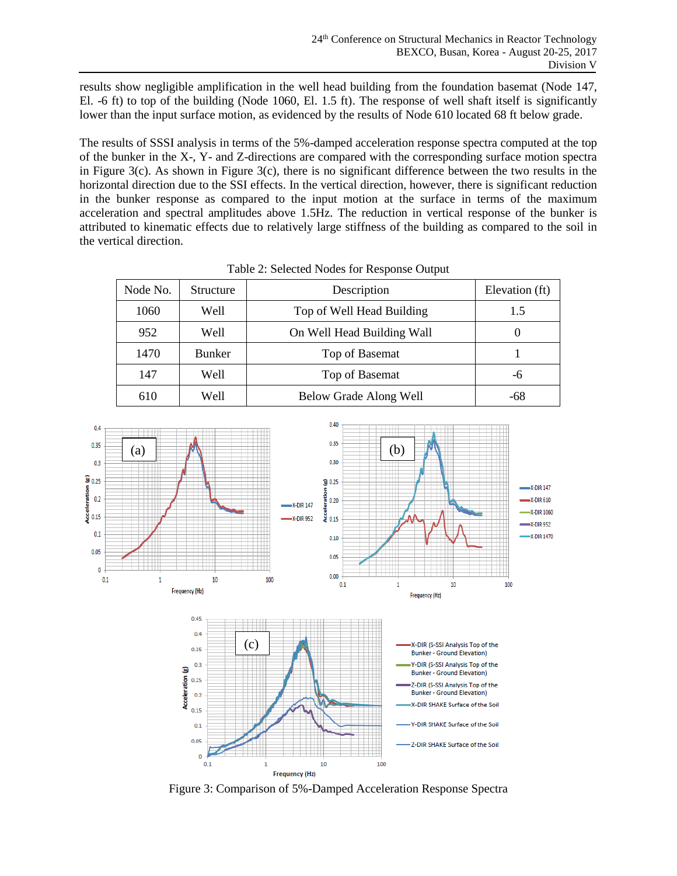results show negligible amplification in the well head building from the foundation basemat (Node 147, El. -6 ft) to top of the building (Node 1060, El. 1.5 ft). The response of well shaft itself is significantly lower than the input surface motion, as evidenced by the results of Node 610 located 68 ft below grade.

The results of SSSI analysis in terms of the 5%-damped acceleration response spectra computed at the top of the bunker in the X-, Y- and Z-directions are compared with the corresponding surface motion spectra in Figure 3(c). As shown in Figure 3(c), there is no significant difference between the two results in the horizontal direction due to the SSI effects. In the vertical direction, however, there is significant reduction in the bunker response as compared to the input motion at the surface in terms of the maximum acceleration and spectral amplitudes above 1.5Hz. The reduction in vertical response of the bunker is attributed to kinematic effects due to relatively large stiffness of the building as compared to the soil in the vertical direction.

| Node No. | Structure     | Description                | Elevation (ft) |
|----------|---------------|----------------------------|----------------|
| 1060     | Well          | Top of Well Head Building  | 1.5            |
| 952      | Well          | On Well Head Building Wall |                |
| 1470     | <b>Bunker</b> | Top of Basemat             |                |
| 147      | Well          | Top of Basemat             | -6             |
| 610      | Well          | Below Grade Along Well     | -68            |

| Table 2: Selected Nodes for Response Output |  |  |  |
|---------------------------------------------|--|--|--|
|---------------------------------------------|--|--|--|



Figure 3: Comparison of 5%-Damped Acceleration Response Spectra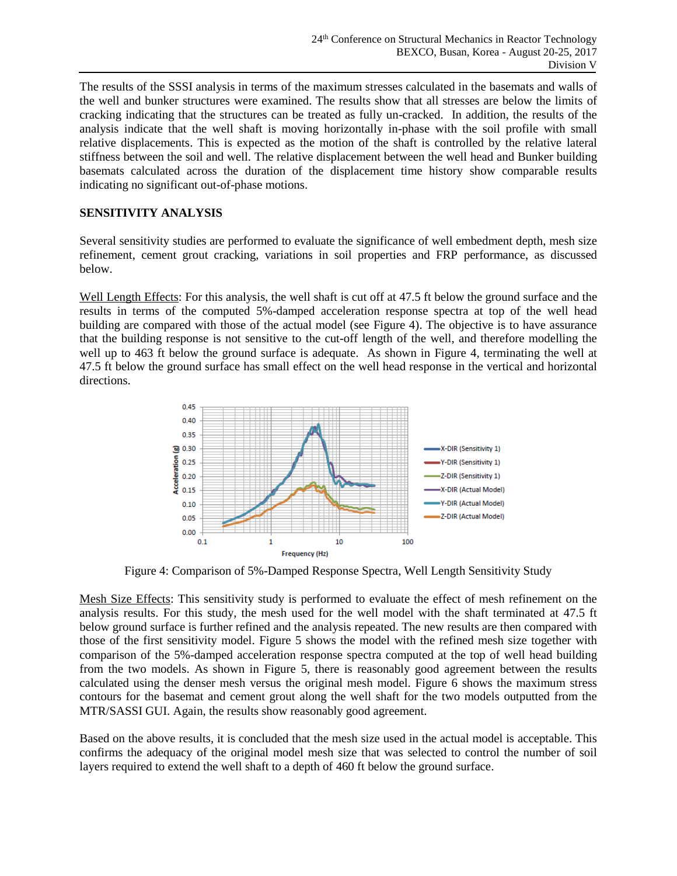The results of the SSSI analysis in terms of the maximum stresses calculated in the basemats and walls of the well and bunker structures were examined. The results show that all stresses are below the limits of cracking indicating that the structures can be treated as fully un-cracked. In addition, the results of the analysis indicate that the well shaft is moving horizontally in-phase with the soil profile with small relative displacements. This is expected as the motion of the shaft is controlled by the relative lateral stiffness between the soil and well. The relative displacement between the well head and Bunker building basemats calculated across the duration of the displacement time history show comparable results indicating no significant out-of-phase motions.

## **SENSITIVITY ANALYSIS**

Several sensitivity studies are performed to evaluate the significance of well embedment depth, mesh size refinement, cement grout cracking, variations in soil properties and FRP performance, as discussed below.

Well Length Effects: For this analysis, the well shaft is cut off at 47.5 ft below the ground surface and the results in terms of the computed 5%-damped acceleration response spectra at top of the well head building are compared with those of the actual model (see Figure 4). The objective is to have assurance that the building response is not sensitive to the cut-off length of the well, and therefore modelling the well up to 463 ft below the ground surface is adequate. As shown in Figure 4, terminating the well at 47.5 ft below the ground surface has small effect on the well head response in the vertical and horizontal directions.



Figure 4: Comparison of 5%-Damped Response Spectra, Well Length Sensitivity Study

Mesh Size Effects: This sensitivity study is performed to evaluate the effect of mesh refinement on the analysis results. For this study, the mesh used for the well model with the shaft terminated at 47.5 ft below ground surface is further refined and the analysis repeated. The new results are then compared with those of the first sensitivity model. Figure 5 shows the model with the refined mesh size together with comparison of the 5%-damped acceleration response spectra computed at the top of well head building from the two models. As shown in Figure 5, there is reasonably good agreement between the results calculated using the denser mesh versus the original mesh model. Figure 6 shows the maximum stress contours for the basemat and cement grout along the well shaft for the two models outputted from the MTR/SASSI GUI. Again, the results show reasonably good agreement.

Based on the above results, it is concluded that the mesh size used in the actual model is acceptable. This confirms the adequacy of the original model mesh size that was selected to control the number of soil layers required to extend the well shaft to a depth of 460 ft below the ground surface.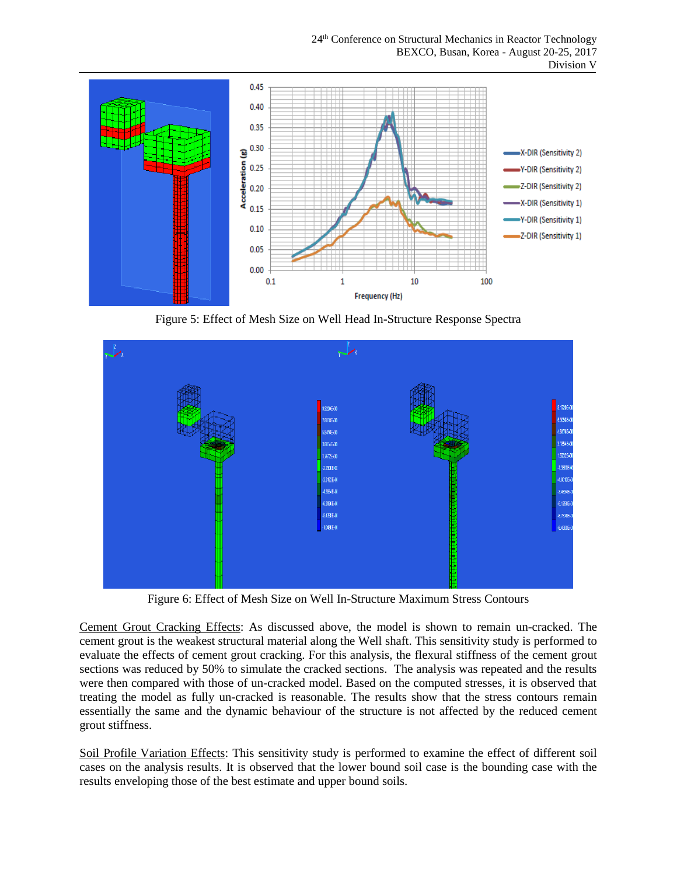24<sup>th</sup> Conference on Structural Mechanics in Reactor Technology BEXCO, Busan, Korea - August 20-25, 2017 Division V



Figure 5: Effect of Mesh Size on Well Head In-Structure Response Spectra



Figure 6: Effect of Mesh Size on Well In-Structure Maximum Stress Contours

Cement Grout Cracking Effects: As discussed above, the model is shown to remain un-cracked. The cement grout is the weakest structural material along the Well shaft. This sensitivity study is performed to evaluate the effects of cement grout cracking. For this analysis, the flexural stiffness of the cement grout sections was reduced by 50% to simulate the cracked sections. The analysis was repeated and the results were then compared with those of un-cracked model. Based on the computed stresses, it is observed that treating the model as fully un-cracked is reasonable. The results show that the stress contours remain essentially the same and the dynamic behaviour of the structure is not affected by the reduced cement grout stiffness.

Soil Profile Variation Effects: This sensitivity study is performed to examine the effect of different soil cases on the analysis results. It is observed that the lower bound soil case is the bounding case with the results enveloping those of the best estimate and upper bound soils.